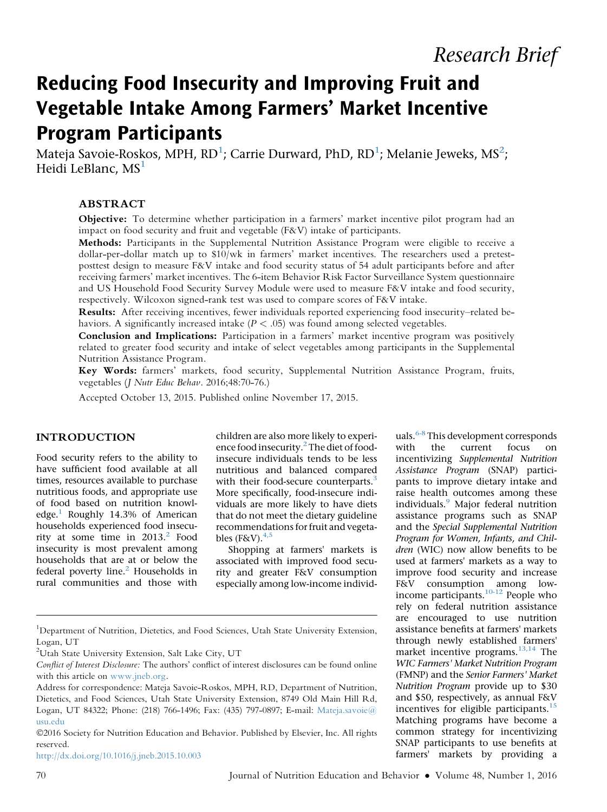## Reducing Food Insecurity and Improving Fruit and Vegetable Intake Among Farmers' Market Incentive Program Participants

Mateja Savoie-Roskos, MPH, RD $^1$ ; Carrie Durward, PhD, RD $^1$ ; Melanie Jeweks, MS $^2$ ; Heidi LeBlanc, MS<sup>1</sup>

### ABSTRACT

Objective: To determine whether participation in a farmers' market incentive pilot program had an impact on food security and fruit and vegetable (F&V) intake of participants.

Methods: Participants in the Supplemental Nutrition Assistance Program were eligible to receive a dollar-per-dollar match up to \$10/wk in farmers' market incentives. The researchers used a pretestposttest design to measure F&V intake and food security status of 54 adult participants before and after receiving farmers' market incentives. The 6-item Behavior Risk Factor Surveillance System questionnaire and US Household Food Security Survey Module were used to measure F&V intake and food security, respectively. Wilcoxon signed-rank test was used to compare scores of F&V intake.

Results: After receiving incentives, fewer individuals reported experiencing food insecurity–related behaviors. A significantly increased intake  $(P < .05)$  was found among selected vegetables.

Conclusion and Implications: Participation in a farmers' market incentive program was positively related to greater food security and intake of select vegetables among participants in the Supplemental Nutrition Assistance Program.

Key Words: farmers' markets, food security, Supplemental Nutrition Assistance Program, fruits, vegetables (J Nutr Educ Behav. 2016;48:70-76.)

Accepted October 13, 2015. Published online November 17, 2015.

### INTRODUCTION

Food security refers to the ability to have sufficient food available at all times, resources available to purchase nutritious foods, and appropriate use of food based on nutrition knowl-edge.<sup>[1](#page-5-0)</sup> Roughly 14.3% of American households experienced food insecu-rity at some time in [2](#page-5-0)013.<sup>2</sup> Food insecurity is most prevalent among households that are at or below the federal poverty line. $<sup>2</sup>$  $<sup>2</sup>$  $<sup>2</sup>$  Households in</sup> rural communities and those with children are also more likely to experi-ence food insecurity.<sup>[2](#page-5-0)</sup> The diet of foodinsecure individuals tends to be less nutritious and balanced compared with their food-secure counterparts.<sup>[3](#page-5-0)</sup> More specifically, food-insecure individuals are more likely to have diets that do not meet the dietary guideline recommendations for fruit and vegetables  $(F\&V)^{4,5}$  $(F\&V)^{4,5}$  $(F\&V)^{4,5}$ 

Shopping at farmers' markets is associated with improved food security and greater F&V consumption especially among low-income individ-

<http://dx.doi.org/10.1016/j.jneb.2015.10.003>

uals.<sup>[6-8](#page-5-0)</sup> This development corresponds with the current focus on incentivizing Supplemental Nutrition Assistance Program (SNAP) participants to improve dietary intake and raise health outcomes among these individuals.[9](#page-5-0) Major federal nutrition assistance programs such as SNAP and the Special Supplemental Nutrition Program for Women, Infants, and Children (WIC) now allow benefits to be used at farmers' markets as a way to improve food security and increase F&V consumption among lowincome participants.[10-12](#page-5-0) People who rely on federal nutrition assistance are encouraged to use nutrition assistance benefits at farmers' markets through newly established farmers' market incentive programs. $^{13,14}$  The WIC Farmers' Market Nutrition Program (FMNP) and the Senior Farmers' Market Nutrition Program provide up to \$30 and \$50, respectively, as annual F&V incentives for eligible participants.[15](#page-5-0) Matching programs have become a common strategy for incentivizing SNAP participants to use benefits at farmers' markets by providing a

<sup>&</sup>lt;sup>1</sup>Department of Nutrition, Dietetics, and Food Sciences, Utah State University Extension, Logan, UT

<sup>&</sup>lt;sup>2</sup>Utah State University Extension, Salt Lake City, UT

Conflict of Interest Disclosure: The authors' conflict of interest disclosures can be found online with this article on [www.jneb.org](http://www.jneb.org).

Address for correspondence: Mateja Savoie-Roskos, MPH, RD, Department of Nutrition, Dietetics, and Food Sciences, Utah State University Extension, 8749 Old Main Hill Rd, Logan, UT 84322; Phone: (218) 766-1496; Fax: (435) 797-0897; E-mail: [Mateja.savoie@](mailto:Mateja.savoie@usu.edu) [usu.edu](mailto:Mateja.savoie@usu.edu)

<sup>2016</sup> Society for Nutrition Education and Behavior. Published by Elsevier, Inc. All rights reserved.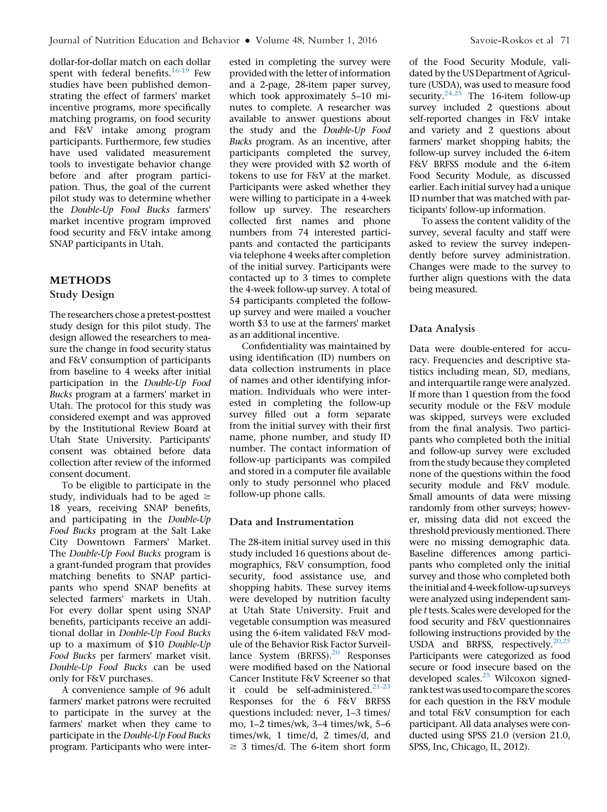dollar-for-dollar match on each dollar spent with federal benefits.<sup>16-19</sup> Few studies have been published demonstrating the effect of farmers' market incentive programs, more specifically matching programs, on food security and F&V intake among program participants. Furthermore, few studies have used validated measurement tools to investigate behavior change before and after program participation. Thus, the goal of the current pilot study was to determine whether the Double-Up Food Bucks farmers' market incentive program improved food security and F&V intake among SNAP participants in Utah.

### METHODS

#### Study Design

The researchers chose a pretest-posttest study design for this pilot study. The design allowed the researchers to measure the change in food security status and F&V consumption of participants from baseline to 4 weeks after initial participation in the Double-Up Food Bucks program at a farmers' market in Utah. The protocol for this study was considered exempt and was approved by the Institutional Review Board at Utah State University. Participants' consent was obtained before data collection after review of the informed consent document.

To be eligible to participate in the study, individuals had to be aged  $\geq$ 18 years, receiving SNAP benefits, and participating in the Double-Up Food Bucks program at the Salt Lake City Downtown Farmers' Market. The Double-Up Food Bucks program is a grant-funded program that provides matching benefits to SNAP participants who spend SNAP benefits at selected farmers' markets in Utah. For every dollar spent using SNAP benefits, participants receive an additional dollar in Double-Up Food Bucks up to a maximum of \$10 Double-Up Food Bucks per farmers' market visit. Double-Up Food Bucks can be used only for F&V purchases.

A convenience sample of 96 adult farmers' market patrons were recruited to participate in the survey at the farmers' market when they came to participate in the Double-Up Food Bucks program. Participants who were interested in completing the survey were provided with the letter of information and a 2-page, 28-item paper survey, which took approximately 5–10 minutes to complete. A researcher was available to answer questions about the study and the Double-Up Food Bucks program. As an incentive, after participants completed the survey, they were provided with \$2 worth of tokens to use for F&V at the market. Participants were asked whether they were willing to participate in a 4-week follow up survey. The researchers collected first names and phone numbers from 74 interested participants and contacted the participants via telephone 4 weeks after completion of the initial survey. Participants were contacted up to 3 times to complete the 4-week follow-up survey. A total of 54 participants completed the followup survey and were mailed a voucher worth \$3 to use at the farmers' market as an additional incentive.

Confidentiality was maintained by using identification (ID) numbers on data collection instruments in place of names and other identifying information. Individuals who were interested in completing the follow-up survey filled out a form separate from the initial survey with their first name, phone number, and study ID number. The contact information of follow-up participants was compiled and stored in a computer file available only to study personnel who placed follow-up phone calls.

### Data and Instrumentation

The 28-item initial survey used in this study included 16 questions about demographics, F&V consumption, food security, food assistance use, and shopping habits. These survey items were developed by nutrition faculty at Utah State University. Fruit and vegetable consumption was measured using the 6-item validated F&V module of the Behavior Risk Factor Surveil-lance System (BRFSS).<sup>[20](#page-5-0)</sup> Responses were modified based on the National Cancer Institute F&V Screener so that it could be self-administered.<sup>[21-23](#page-5-0)</sup> Responses for the 6 F&V BRFSS questions included: never, 1–3 times/ mo, 1–2 times/wk, 3–4 times/wk, 5–6 times/wk, 1 time/d, 2 times/d, and  $\geq$  3 times/d. The 6-item short form

of the Food Security Module, validated by the US Department of Agriculture (USDA), was used to measure food security.<sup>24,25</sup> The 16-item follow-up survey included 2 questions about self-reported changes in F&V intake and variety and 2 questions about farmers' market shopping habits; the follow-up survey included the 6-item F&V BRFSS module and the 6-item Food Security Module, as discussed earlier. Each initial survey had a unique ID number that was matched with participants' follow-up information.

To assess the content validity of the survey, several faculty and staff were asked to review the survey independently before survey administration. Changes were made to the survey to further align questions with the data being measured.

### Data Analysis

Data were double-entered for accuracy. Frequencies and descriptive statistics including mean, SD, medians, and interquartile range were analyzed. If more than 1 question from the food security module or the F&V module was skipped, surveys were excluded from the final analysis. Two participants who completed both the initial and follow-up survey were excluded from the study because they completed none of the questions within the food security module and F&V module. Small amounts of data were missing randomly from other surveys; however, missing data did not exceed the threshold previouslymentioned. There were no missing demographic data. Baseline differences among participants who completed only the initial survey and those who completed both the initial and 4-week follow-up surveys were analyzed using independent sample t tests. Scales were developed for the food security and F&V questionnaires following instructions provided by the USDA and BRFSS, respectively.<sup>20,25</sup> Participants were categorized as food secure or food insecure based on the developed scales[.25](#page-5-0) Wilcoxon signedrank test was used to compare the scores for each question in the F&V module and total F&V consumption for each participant. All data analyses were conducted using SPSS 21.0 (version 21.0, SPSS, Inc, Chicago, IL, 2012).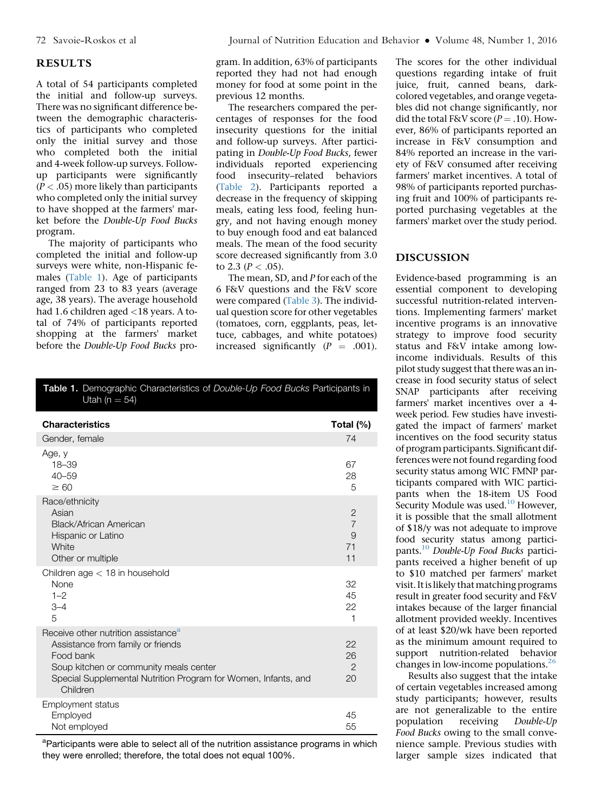### 72 Savoie-Roskos et al Journal of Nutrition Education and Behavior Volume 48, Number 1, 2016

### RESULTS

A total of 54 participants completed the initial and follow-up surveys. There was no significant difference between the demographic characteristics of participants who completed only the initial survey and those who completed both the initial and 4-week follow-up surveys. Followup participants were significantly  $(P < .05)$  more likely than participants who completed only the initial survey to have shopped at the farmers' market before the Double-Up Food Bucks program.

The majority of participants who completed the initial and follow-up surveys were white, non-Hispanic females (Table 1). Age of participants ranged from 23 to 83 years (average age, 38 years). The average household had 1.6 children aged <18 years. A total of 74% of participants reported shopping at the farmers' market before the Double-Up Food Bucks program. In addition, 63% of participants reported they had not had enough money for food at some point in the previous 12 months.

The researchers compared the percentages of responses for the food insecurity questions for the initial and follow-up surveys. After participating in Double-Up Food Bucks, fewer individuals reported experiencing food insecurity–related behaviors [\(Table 2\)](#page-3-0). Participants reported a decrease in the frequency of skipping meals, eating less food, feeling hungry, and not having enough money to buy enough food and eat balanced meals. The mean of the food security score decreased significantly from 3.0 to 2.3 ( $P < .05$ ).

The mean, SD, and P for each of the 6 F&V questions and the F&V score were compared ([Table 3](#page-4-0)). The individual question score for other vegetables (tomatoes, corn, eggplants, peas, lettuce, cabbages, and white potatoes) increased significantly  $(P = .001)$ .

| Utah (n = $54$ )                                                                                                                                                                                                          |                                               |
|---------------------------------------------------------------------------------------------------------------------------------------------------------------------------------------------------------------------------|-----------------------------------------------|
| <b>Characteristics</b>                                                                                                                                                                                                    | Total (%)                                     |
| Gender, female                                                                                                                                                                                                            | 74                                            |
| Age, y<br>18-39<br>$40 - 59$<br>$\geq 60$                                                                                                                                                                                 | 67<br>28<br>5                                 |
| Race/ethnicity<br>Asian<br>Black/African American<br>Hispanic or Latino<br>White<br>Other or multiple                                                                                                                     | $\sqrt{2}$<br>$\overline{7}$<br>9<br>71<br>11 |
| Children $age < 18$ in household<br>None<br>$1 - 2$<br>$3 - 4$<br>5                                                                                                                                                       | 32<br>45<br>22<br>1                           |
| Receive other nutrition assistance <sup>a</sup><br>Assistance from family or friends<br>Food bank<br>Soup kitchen or community meals center<br>Special Supplemental Nutrition Program for Women, Infants, and<br>Children | 22<br>26<br>$\mathcal{P}$<br>20               |
| <b>Employment status</b><br>Employed<br>Not employed                                                                                                                                                                      | 45<br>55                                      |

<sup>a</sup>Participants were able to select all of the nutrition assistance programs in which they were enrolled; therefore, the total does not equal 100%.

The scores for the other individual questions regarding intake of fruit juice, fruit, canned beans, darkcolored vegetables, and orange vegetables did not change significantly, nor did the total F&V score ( $P = .10$ ). However, 86% of participants reported an increase in F&V consumption and 84% reported an increase in the variety of F&V consumed after receiving farmers' market incentives. A total of 98% of participants reported purchasing fruit and 100% of participants reported purchasing vegetables at the farmers' market over the study period.

### **DISCUSSION**

Evidence-based programming is an essential component to developing successful nutrition-related interventions. Implementing farmers' market incentive programs is an innovative strategy to improve food security status and F&V intake among lowincome individuals. Results of this pilot study suggest that there was an increase in food security status of select SNAP participants after receiving farmers' market incentives over a 4 week period. Few studies have investigated the impact of farmers' market incentives on the food security status of program participants. Significant differences were not found regarding food security status among WIC FMNP participants compared with WIC participants when the 18-item US Food Security Module was used. $10$  However, it is possible that the small allotment of \$18/y was not adequate to improve food security status among participants.<sup>10</sup> Double-Up Food Bucks participants received a higher benefit of up to \$10 matched per farmers' market visit. It is likely that matching programs result in greater food security and F&V intakes because of the larger financial allotment provided weekly. Incentives of at least \$20/wk have been reported as the minimum amount required to support nutrition-related behavior changes in low-income populations.<sup>26</sup>

Results also suggest that the intake of certain vegetables increased among study participants; however, results are not generalizable to the entire population receiving Double-Up Food Bucks owing to the small convenience sample. Previous studies with larger sample sizes indicated that

### Table 1. Demographic Characteristics of Double-Up Food Bucks Participants in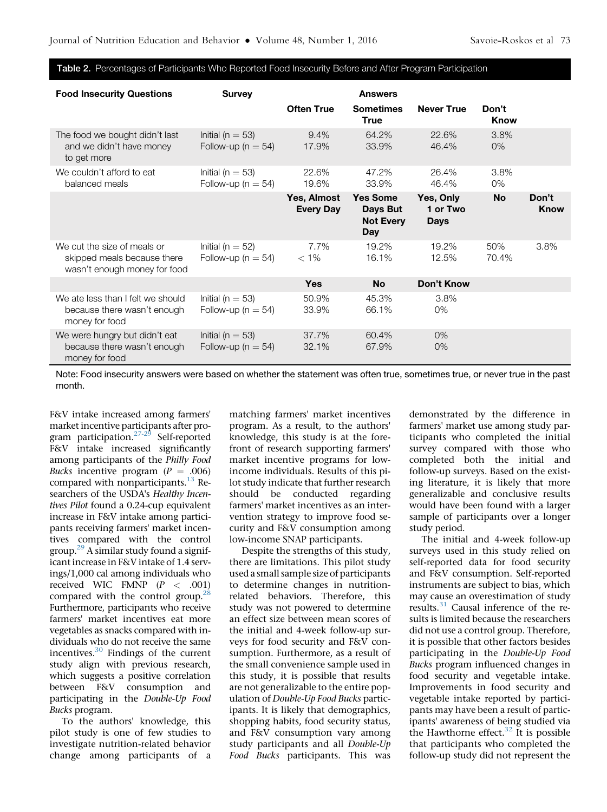### <span id="page-3-0"></span>Table 2. Percentages of Participants Who Reported Food Insecurity Before and After Program Participation

| <b>Food Insecurity Questions</b>                                                           | <b>Survey</b>                                  |                                 | <b>Answers</b>                                         |                                      |               |                      |
|--------------------------------------------------------------------------------------------|------------------------------------------------|---------------------------------|--------------------------------------------------------|--------------------------------------|---------------|----------------------|
|                                                                                            |                                                | <b>Often True</b>               | <b>Sometimes</b><br><b>True</b>                        | <b>Never True</b>                    | Don't<br>Know |                      |
| The food we bought didn't last<br>and we didn't have money<br>to get more                  | Initial ( $n = 53$ )<br>Follow-up ( $n = 54$ ) | 9.4%<br>17.9%                   | 64.2%<br>33.9%                                         | 22.6%<br>46.4%                       | 3.8%<br>$0\%$ |                      |
| We couldn't afford to eat<br>balanced meals                                                | Initial ( $n = 53$ )<br>Follow-up ( $n = 54$ ) | 22.6%<br>19.6%                  | 47.2%<br>33.9%                                         | 26.4%<br>46.4%                       | 3.8%<br>0%    |                      |
|                                                                                            |                                                | Yes, Almost<br><b>Every Day</b> | <b>Yes Some</b><br>Days But<br><b>Not Every</b><br>Day | Yes, Only<br>1 or Two<br><b>Days</b> | <b>No</b>     | Don't<br><b>Know</b> |
| We cut the size of meals or<br>skipped meals because there<br>wasn't enough money for food | Initial ( $n = 52$ )<br>Follow-up ( $n = 54$ ) | 7.7%<br>$< 1\%$                 | 19.2%<br>16.1%                                         | 19.2%<br>12.5%                       | 50%<br>70.4%  | 3.8%                 |
|                                                                                            |                                                | <b>Yes</b>                      | <b>No</b>                                              | Don't Know                           |               |                      |
| We ate less than I felt we should<br>because there wasn't enough<br>money for food         | Initial ( $n = 53$ )<br>Follow-up ( $n = 54$ ) | 50.9%<br>33.9%                  | 45.3%<br>66.1%                                         | 3.8%<br>$0\%$                        |               |                      |
| We were hungry but didn't eat<br>because there wasn't enough<br>money for food             | Initial ( $n = 53$ )<br>Follow-up ( $n = 54$ ) | 37.7%<br>32.1%                  | 60.4%<br>67.9%                                         | $0\%$<br>$0\%$                       |               |                      |

Note: Food insecurity answers were based on whether the statement was often true, sometimes true, or never true in the past month.

F&V intake increased among farmers' market incentive participants after program participation. $27-29$  Self-reported F&V intake increased significantly among participants of the Philly Food *Bucks* incentive program ( $P = .006$ ) compared with nonparticipants.<sup>13</sup> Researchers of the USDA's Healthy Incentives Pilot found a 0.24-cup equivalent increase in F&V intake among participants receiving farmers' market incentives compared with the control group. $29$  A similar study found a significant increase in F&V intake of 1.4 servings/1,000 cal among individuals who received WIC FMNP  $(P < .001)$ compared with the control group. $28$ Furthermore, participants who receive farmers' market incentives eat more vegetables as snacks compared with individuals who do not receive the same incentives[.30](#page-5-0) Findings of the current study align with previous research, which suggests a positive correlation between F&V consumption and participating in the Double-Up Food Bucks program.

To the authors' knowledge, this pilot study is one of few studies to investigate nutrition-related behavior change among participants of a

matching farmers' market incentives program. As a result, to the authors' knowledge, this study is at the forefront of research supporting farmers' market incentive programs for lowincome individuals. Results of this pilot study indicate that further research should be conducted regarding farmers' market incentives as an intervention strategy to improve food security and F&V consumption among low-income SNAP participants.

Despite the strengths of this study, there are limitations. This pilot study used a small sample size of participants to determine changes in nutritionrelated behaviors. Therefore, this study was not powered to determine an effect size between mean scores of the initial and 4-week follow-up surveys for food security and F&V consumption. Furthermore, as a result of the small convenience sample used in this study, it is possible that results are not generalizable to the entire population of Double-Up Food Bucks participants. It is likely that demographics, shopping habits, food security status, and F&V consumption vary among study participants and all Double-Up Food Bucks participants. This was demonstrated by the difference in farmers' market use among study participants who completed the initial survey compared with those who completed both the initial and follow-up surveys. Based on the existing literature, it is likely that more generalizable and conclusive results would have been found with a larger sample of participants over a longer study period.

The initial and 4-week follow-up surveys used in this study relied on self-reported data for food security and F&V consumption. Self-reported instruments are subject to bias, which may cause an overestimation of study results.<sup>[31](#page-5-0)</sup> Causal inference of the results is limited because the researchers did not use a control group. Therefore, it is possible that other factors besides participating in the Double-Up Food Bucks program influenced changes in food security and vegetable intake. Improvements in food security and vegetable intake reported by participants may have been a result of participants' awareness of being studied via the Hawthorne effect. $32$  It is possible that participants who completed the follow-up study did not represent the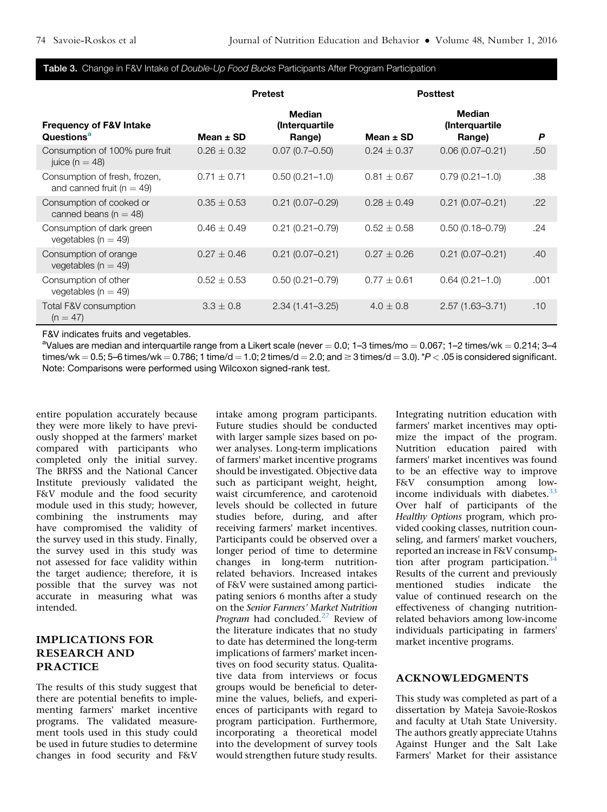### <span id="page-4-0"></span>Table 3. Change in F&V Intake of Double-Up Food Bucks Participants After Program Participation

|                                                                | <b>Pretest</b>  |                                           | <b>Posttest</b> |                                            |      |
|----------------------------------------------------------------|-----------------|-------------------------------------------|-----------------|--------------------------------------------|------|
| <b>Frequency of F&amp;V Intake</b><br>Questions <sup>a</sup>   | Mean $\pm$ SD   | <b>Median</b><br>(Interquartile<br>Range) | Mean $\pm$ SD   | <b>Median</b><br>(Interquartile)<br>Range) | P    |
| Consumption of 100% pure fruit<br>juice ( $n = 48$ )           | $0.26 \pm 0.32$ | $0.07(0.7-0.50)$                          | $0.24 \pm 0.37$ | $0.06(0.07 - 0.21)$                        | .50  |
| Consumption of fresh, frozen,<br>and canned fruit ( $n = 49$ ) | $0.71 \pm 0.71$ | $0.50(0.21 - 1.0)$                        | $0.81 \pm 0.67$ | $0.79(0.21 - 1.0)$                         | .38  |
| Consumption of cooked or<br>canned beans ( $n = 48$ )          | $0.35 \pm 0.53$ | $0.21(0.07 - 0.29)$                       | $0.28 \pm 0.49$ | $0.21(0.07 - 0.21)$                        | .22  |
| Consumption of dark green<br>vegetables ( $n = 49$ )           | $0.46 \pm 0.49$ | $0.21(0.21 - 0.79)$                       | $0.52 \pm 0.58$ | $0.50(0.18 - 0.79)$                        | .24  |
| Consumption of orange<br>vegetables ( $n = 49$ )               | $0.27 \pm 0.46$ | $0.21(0.07 - 0.21)$                       | $0.27 \pm 0.26$ | $0.21(0.07 - 0.21)$                        | .40  |
| Consumption of other<br>vegetables ( $n = 49$ )                | $0.52 \pm 0.53$ | $0.50(0.21 - 0.79)$                       | $0.77 \pm 0.61$ | $0.64(0.21 - 1.0)$                         | .001 |
| Total F&V consumption<br>$(n = 47)$                            | $3.3 \pm 0.8$   | $2.34(1.41 - 3.25)$                       | $4.0 \pm 0.8$   | $2.57(1.63 - 3.71)$                        | .10  |

F&V indicates fruits and vegetables.

<sup>a</sup>Values are median and interquartile range from a Likert scale (never  $= 0.0$ ; 1–3 times/mo  $= 0.067$ ; 1–2 times/wk  $= 0.214$ ; 3–4 times/wk  $= 0.5$ ; 5–6 times/wk  $= 0.786$ ; 1 time/d  $= 1.0$ ; 2 times/d  $= 2.0$ ; and  $\geq 3$  times/d  $= 3.0$ ).  $\epsilon$ P  $< .05$  is considered significant. Note: Comparisons were performed using Wilcoxon signed-rank test.

entire population accurately because they were more likely to have previously shopped at the farmers' market compared with participants who completed only the initial survey. The BRFSS and the National Cancer Institute previously validated the F&V module and the food security module used in this study; however, combining the instruments may have compromised the validity of the survey used in this study. Finally, the survey used in this study was not assessed for face validity within the target audience; therefore, it is possible that the survey was not accurate in measuring what was intended.

### IMPLICATIONS FOR RESEARCH AND PRACTICE

The results of this study suggest that there are potential benefits to implementing farmers' market incentive programs. The validated measurement tools used in this study could be used in future studies to determine changes in food security and F&V

intake among program participants. Future studies should be conducted with larger sample sizes based on power analyses. Long-term implications of farmers' market incentive programs should be investigated. Objective data such as participant weight, height, waist circumference, and carotenoid levels should be collected in future studies before, during, and after receiving farmers' market incentives. Participants could be observed over a longer period of time to determine changes in long-term nutritionrelated behaviors. Increased intakes of F&V were sustained among participating seniors 6 months after a study on the Senior Farmers' Market Nutrition Program had concluded.<sup>[27](#page-5-0)</sup> Review of the literature indicates that no study to date has determined the long-term implications of farmers' market incentives on food security status. Qualitative data from interviews or focus groups would be beneficial to determine the values, beliefs, and experiences of participants with regard to program participation. Furthermore, incorporating a theoretical model into the development of survey tools would strengthen future study results.

Integrating nutrition education with farmers' market incentives may optimize the impact of the program. Nutrition education paired with farmers' market incentives was found to be an effective way to improve F&V consumption among lowincome individuals with diabetes. $33$ Over half of participants of the Healthy Options program, which provided cooking classes, nutrition counseling, and farmers' market vouchers, reported an increase in F&V consump-tion after program participation.<sup>[34](#page-6-0)</sup> Results of the current and previously mentioned studies indicate the value of continued research on the effectiveness of changing nutritionrelated behaviors among low-income individuals participating in farmers' market incentive programs.

### ACKNOWLEDGMENTS

This study was completed as part of a dissertation by Mateja Savoie-Roskos and faculty at Utah State University. The authors greatly appreciate Utahns Against Hunger and the Salt Lake Farmers' Market for their assistance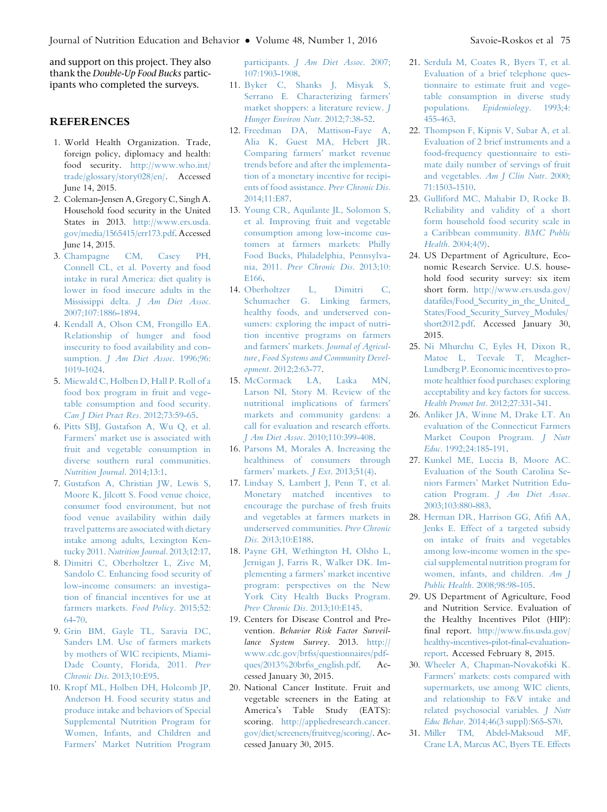<span id="page-5-0"></span>and support on this project. They also thank the Double-Up Food Bucks participants who completed the surveys.

### REFERENCES

- 1. World Health Organization. Trade, foreign policy, diplomacy and health: food security. [http://www.who.int/](http://www.who.int/trade/glossary/story028/en/) [trade/glossary/story028/en/](http://www.who.int/trade/glossary/story028/en/). Accessed June 14, 2015.
- 2. Coleman-Jensen A, Gregory C, Singh A. Household food security in the United States in 2013. [http://www.ers.usda.](http://www.ers.usda.gov/media/1565415/err173.pdf) [gov/media/1565415/err173.pdf](http://www.ers.usda.gov/media/1565415/err173.pdf). Accessed June 14, 2015.
- 3. [Champagne CM, Casey PH,](http://refhub.elsevier.com/S1499-4046(15)00712-5/sref3) [Connell CL, et al. Poverty and food](http://refhub.elsevier.com/S1499-4046(15)00712-5/sref3) [intake in rural America: diet quality is](http://refhub.elsevier.com/S1499-4046(15)00712-5/sref3) [lower in food insecure adults in the](http://refhub.elsevier.com/S1499-4046(15)00712-5/sref3) Mississippi delta. [J Am Diet Assoc](http://refhub.elsevier.com/S1499-4046(15)00712-5/sref3). [2007;107:1886-1894.](http://refhub.elsevier.com/S1499-4046(15)00712-5/sref3)
- 4. [Kendall A, Olson CM, Frongillo EA.](http://refhub.elsevier.com/S1499-4046(15)00712-5/sref4) [Relationship of hunger and food](http://refhub.elsevier.com/S1499-4046(15)00712-5/sref4) [insecurity to food availability and con-](http://refhub.elsevier.com/S1499-4046(15)00712-5/sref4)sumption. [J Am Diet Assoc](http://refhub.elsevier.com/S1499-4046(15)00712-5/sref4). 1996;96: [1019-1024.](http://refhub.elsevier.com/S1499-4046(15)00712-5/sref4)
- 5. [Miewald C, Holben D, Hall P. Roll of a](http://refhub.elsevier.com/S1499-4046(15)00712-5/sref5) [food box program in fruit and vege](http://refhub.elsevier.com/S1499-4046(15)00712-5/sref5)[table consumption and food security.](http://refhub.elsevier.com/S1499-4046(15)00712-5/sref5) [Can J Diet Pract Res](http://refhub.elsevier.com/S1499-4046(15)00712-5/sref5). 2012;73:59-65.
- 6. [Pitts SBJ, Gustafson A, Wu Q, et al.](http://refhub.elsevier.com/S1499-4046(15)00712-5/sref6) [Farmers' market use is associated with](http://refhub.elsevier.com/S1499-4046(15)00712-5/sref6) [fruit and vegetable consumption in](http://refhub.elsevier.com/S1499-4046(15)00712-5/sref6) [diverse southern rural communities.](http://refhub.elsevier.com/S1499-4046(15)00712-5/sref6) [Nutrition Journal](http://refhub.elsevier.com/S1499-4046(15)00712-5/sref6). 2014;13:1.
- 7. [Gustafson A, Christian JW, Lewis S,](http://refhub.elsevier.com/S1499-4046(15)00712-5/sref7) [Moore K, Jilcott S. Food venue choice,](http://refhub.elsevier.com/S1499-4046(15)00712-5/sref7) [consumer food environment, but not](http://refhub.elsevier.com/S1499-4046(15)00712-5/sref7) [food venue availability within daily](http://refhub.elsevier.com/S1499-4046(15)00712-5/sref7) [travel patterns are associated with dietary](http://refhub.elsevier.com/S1499-4046(15)00712-5/sref7) [intake among adults, Lexington Ken](http://refhub.elsevier.com/S1499-4046(15)00712-5/sref7)tucky 2011. [Nutrition Journal](http://refhub.elsevier.com/S1499-4046(15)00712-5/sref7). 2013;12:17.
- 8. [Dimitri C, Oberholtzer L, Zive M,](http://refhub.elsevier.com/S1499-4046(15)00712-5/sref8) [Sandolo C. Enhancing food security of](http://refhub.elsevier.com/S1499-4046(15)00712-5/sref8) [low-income consumers: an investiga](http://refhub.elsevier.com/S1499-4046(15)00712-5/sref8)[tion of financial incentives for use at](http://refhub.elsevier.com/S1499-4046(15)00712-5/sref8) [farmers markets.](http://refhub.elsevier.com/S1499-4046(15)00712-5/sref8) Food Policy. 2015;52: [64-70.](http://refhub.elsevier.com/S1499-4046(15)00712-5/sref8)
- 9. [Grin BM, Gayle TL, Saravia DC,](http://refhub.elsevier.com/S1499-4046(15)00712-5/sref9) [Sanders LM. Use of farmers markets](http://refhub.elsevier.com/S1499-4046(15)00712-5/sref9) [by mothers of WIC recipients, Miami-](http://refhub.elsevier.com/S1499-4046(15)00712-5/sref9)[Dade County, Florida, 2011.](http://refhub.elsevier.com/S1499-4046(15)00712-5/sref9) Prev Chronic Dis[. 2013;10:E95](http://refhub.elsevier.com/S1499-4046(15)00712-5/sref9).
- 10. [Kropf ML, Holben DH, Holcomb JP,](http://refhub.elsevier.com/S1499-4046(15)00712-5/sref10) [Anderson H. Food security status and](http://refhub.elsevier.com/S1499-4046(15)00712-5/sref10) [produce intake and behaviors of Special](http://refhub.elsevier.com/S1499-4046(15)00712-5/sref10) [Supplemental Nutrition Program for](http://refhub.elsevier.com/S1499-4046(15)00712-5/sref10) [Women, Infants, and Children and](http://refhub.elsevier.com/S1499-4046(15)00712-5/sref10) [Farmers' Market Nutrition Program](http://refhub.elsevier.com/S1499-4046(15)00712-5/sref10)

participants. [J Am Diet Assoc](http://refhub.elsevier.com/S1499-4046(15)00712-5/sref10). 2007; [107:1903-1908](http://refhub.elsevier.com/S1499-4046(15)00712-5/sref10).

- 11. [Byker C, Shanks J, Misyak S,](http://refhub.elsevier.com/S1499-4046(15)00712-5/sref11) [Serrano E. Characterizing farmers'](http://refhub.elsevier.com/S1499-4046(15)00712-5/sref11) [market shoppers: a literature review.](http://refhub.elsevier.com/S1499-4046(15)00712-5/sref11) J [Hunger Environ Nutr](http://refhub.elsevier.com/S1499-4046(15)00712-5/sref11). 2012;7:38-52.
- 12. [Freedman DA, Mattison-Faye A,](http://refhub.elsevier.com/S1499-4046(15)00712-5/sref12) [Alia K, Guest MA, Hebert JR.](http://refhub.elsevier.com/S1499-4046(15)00712-5/sref12) [Comparing farmers' market revenue](http://refhub.elsevier.com/S1499-4046(15)00712-5/sref12) [trends before and after the implementa](http://refhub.elsevier.com/S1499-4046(15)00712-5/sref12)[tion of a monetary incentive for recipi](http://refhub.elsevier.com/S1499-4046(15)00712-5/sref12)[ents of food assistance.](http://refhub.elsevier.com/S1499-4046(15)00712-5/sref12) Prev Chronic Dis.  $2014 \cdot 11 \cdot F87$
- 13. [Young CR, Aquilante JL, Solomon S,](http://refhub.elsevier.com/S1499-4046(15)00712-5/sref13) [et al. Improving fruit and vegetable](http://refhub.elsevier.com/S1499-4046(15)00712-5/sref13) [consumption among low-income cus](http://refhub.elsevier.com/S1499-4046(15)00712-5/sref13)[tomers at farmers markets: Philly](http://refhub.elsevier.com/S1499-4046(15)00712-5/sref13) [Food Bucks, Philadelphia, Pennsylva](http://refhub.elsevier.com/S1499-4046(15)00712-5/sref13)nia, 2011. [Prev Chronic Dis](http://refhub.elsevier.com/S1499-4046(15)00712-5/sref13). 2013;10: [E166](http://refhub.elsevier.com/S1499-4046(15)00712-5/sref13).
- 14. [Oberholtzer L, Dimitri C,](http://refhub.elsevier.com/S1499-4046(15)00712-5/sref14) [Schumacher G. Linking farmers,](http://refhub.elsevier.com/S1499-4046(15)00712-5/sref14) [healthy foods, and underserved con](http://refhub.elsevier.com/S1499-4046(15)00712-5/sref14)[sumers: exploring the impact of nutri](http://refhub.elsevier.com/S1499-4046(15)00712-5/sref14)[tion incentive programs on farmers](http://refhub.elsevier.com/S1499-4046(15)00712-5/sref14) [and farmers' markets.](http://refhub.elsevier.com/S1499-4046(15)00712-5/sref14) Journal of Agricul[ture, Food Systems and Community Devel](http://refhub.elsevier.com/S1499-4046(15)00712-5/sref14)opment[. 2012;2:63-77.](http://refhub.elsevier.com/S1499-4046(15)00712-5/sref14)
- 15. [McCormack LA, Laska MN,](http://refhub.elsevier.com/S1499-4046(15)00712-5/sref15) [Larson NI, Story M. Review of the](http://refhub.elsevier.com/S1499-4046(15)00712-5/sref15) [nutritional implications of farmers'](http://refhub.elsevier.com/S1499-4046(15)00712-5/sref15) [markets and community gardens: a](http://refhub.elsevier.com/S1499-4046(15)00712-5/sref15) [call for evaluation and research efforts.](http://refhub.elsevier.com/S1499-4046(15)00712-5/sref15) J Am Diet Assoc[. 2010;110:399-408.](http://refhub.elsevier.com/S1499-4046(15)00712-5/sref15)
- 16. [Parsons M, Morales A. Increasing the](http://refhub.elsevier.com/S1499-4046(15)00712-5/sref16) [healthiness of consumers through](http://refhub.elsevier.com/S1499-4046(15)00712-5/sref16) [farmers' markets.](http://refhub.elsevier.com/S1499-4046(15)00712-5/sref16) J Ext. 2013;51(4).
- 17. [Lindsay S, Lambert J, Penn T, et al.](http://refhub.elsevier.com/S1499-4046(15)00712-5/sref17) [Monetary matched incentives to](http://refhub.elsevier.com/S1499-4046(15)00712-5/sref17) [encourage the purchase of fresh fruits](http://refhub.elsevier.com/S1499-4046(15)00712-5/sref17) [and vegetables at farmers markets in](http://refhub.elsevier.com/S1499-4046(15)00712-5/sref17) [underserved communities.](http://refhub.elsevier.com/S1499-4046(15)00712-5/sref17) Prev Chronic Dis[. 2013;10:E188](http://refhub.elsevier.com/S1499-4046(15)00712-5/sref17).
- 18. [Payne GH, Wethington H, Olsho L,](http://refhub.elsevier.com/S1499-4046(15)00712-5/sref18) [Jernigan J, Farris R, Walker DK. Im](http://refhub.elsevier.com/S1499-4046(15)00712-5/sref18)[plementing a farmers' market incentive](http://refhub.elsevier.com/S1499-4046(15)00712-5/sref18) [program: perspectives on the New](http://refhub.elsevier.com/S1499-4046(15)00712-5/sref18) [York City Health Bucks Program.](http://refhub.elsevier.com/S1499-4046(15)00712-5/sref18) [Prev Chronic Dis](http://refhub.elsevier.com/S1499-4046(15)00712-5/sref18). 2013;10:E145.
- 19. Centers for Disease Control and Prevention. Behavior Risk Factor Surveillance System Survey. 2013. [http://](http://www.cdc.gov/brfss/questionnaires/pdf-ques/2013%20brfss_english.pdf) [www.cdc.gov/brfss/questionnaires/pdf](http://www.cdc.gov/brfss/questionnaires/pdf-ques/2013%20brfss_english.pdf)[ques/2013%20brfss\\_english.pdf.](http://www.cdc.gov/brfss/questionnaires/pdf-ques/2013%20brfss_english.pdf) Accessed January 30, 2015.
- 20. National Cancer Institute. Fruit and vegetable screeners in the Eating at America's Table Study (EATS): scoring. [http://appliedresearch.cancer.](http://appliedresearch.cancer.gov/diet/screeners/fruitveg/scoring/) [gov/diet/screeners/fruitveg/scoring/.](http://appliedresearch.cancer.gov/diet/screeners/fruitveg/scoring/) Accessed January 30, 2015.
- 21. [Serdula M, Coates R, Byers T, et al.](http://refhub.elsevier.com/S1499-4046(15)00712-5/sref21) [Evaluation of a brief telephone ques](http://refhub.elsevier.com/S1499-4046(15)00712-5/sref21)[tionnaire to estimate fruit and vege](http://refhub.elsevier.com/S1499-4046(15)00712-5/sref21)[table consumption in diverse study](http://refhub.elsevier.com/S1499-4046(15)00712-5/sref21) populations. [Epidemiology](http://refhub.elsevier.com/S1499-4046(15)00712-5/sref21). 1993;4: [455-463](http://refhub.elsevier.com/S1499-4046(15)00712-5/sref21).
- 22. [Thompson F, Kipnis V, Subar A, et al.](http://refhub.elsevier.com/S1499-4046(15)00712-5/sref22) [Evaluation of 2 brief instruments and a](http://refhub.elsevier.com/S1499-4046(15)00712-5/sref22) [food-frequency questionnaire to esti](http://refhub.elsevier.com/S1499-4046(15)00712-5/sref22)[mate daily number of servings of fruit](http://refhub.elsevier.com/S1499-4046(15)00712-5/sref22) and vegetables. [Am J Clin Nutr](http://refhub.elsevier.com/S1499-4046(15)00712-5/sref22). 2000; [71:1503-1510](http://refhub.elsevier.com/S1499-4046(15)00712-5/sref22).
- 23. [Gulliford MC, Mahabir D, Rocke B.](http://refhub.elsevier.com/S1499-4046(15)00712-5/sref23) [Reliability and validity of a short](http://refhub.elsevier.com/S1499-4046(15)00712-5/sref23) [form household food security scale in](http://refhub.elsevier.com/S1499-4046(15)00712-5/sref23) [a Caribbean community.](http://refhub.elsevier.com/S1499-4046(15)00712-5/sref23) BMC Public Health[. 2004;4\(9\).](http://refhub.elsevier.com/S1499-4046(15)00712-5/sref23)
- 24. US Department of Agriculture, Economic Research Service. U.S. household food security survey: six item short form. [http://www.ers.usda.gov/](http://www.ers.usda.gov/datafiles/Food_Security_in_the_United_States/Food_Security_Survey_Modules/short2012.pdf) [datafiles/Food\\_Security\\_in\\_the\\_United\\_](http://www.ers.usda.gov/datafiles/Food_Security_in_the_United_States/Food_Security_Survey_Modules/short2012.pdf) [States/Food\\_Security\\_Survey\\_Modules/](http://www.ers.usda.gov/datafiles/Food_Security_in_the_United_States/Food_Security_Survey_Modules/short2012.pdf) [short2012.pdf](http://www.ers.usda.gov/datafiles/Food_Security_in_the_United_States/Food_Security_Survey_Modules/short2012.pdf). Accessed January 30, 2015.
- 25. [Ni Mhurchu C, Eyles H, Dixon R,](http://refhub.elsevier.com/S1499-4046(15)00712-5/sref25) [Matoe L, Teevale T, Meagher-](http://refhub.elsevier.com/S1499-4046(15)00712-5/sref25)[Lundberg P. Economic incentives to pro](http://refhub.elsevier.com/S1499-4046(15)00712-5/sref25)[mote healthier food purchases: exploring](http://refhub.elsevier.com/S1499-4046(15)00712-5/sref25) [acceptability and key factors for success.](http://refhub.elsevier.com/S1499-4046(15)00712-5/sref25) Health Promot Int[. 2012;27:331-341](http://refhub.elsevier.com/S1499-4046(15)00712-5/sref25).
- 26. [Anliker JA, Winne M, Drake LT. An](http://refhub.elsevier.com/S1499-4046(15)00712-5/sref26) [evaluation of the Connecticut Farmers](http://refhub.elsevier.com/S1499-4046(15)00712-5/sref26) [Market Coupon Program.](http://refhub.elsevier.com/S1499-4046(15)00712-5/sref26) J Nutr Educ[. 1992;24:185-191.](http://refhub.elsevier.com/S1499-4046(15)00712-5/sref26)
- 27. [Kunkel ME, Luccia B, Moore AC.](http://refhub.elsevier.com/S1499-4046(15)00712-5/sref27) [Evaluation of the South Carolina Se](http://refhub.elsevier.com/S1499-4046(15)00712-5/sref27)[niors Farmers' Market Nutrition Edu](http://refhub.elsevier.com/S1499-4046(15)00712-5/sref27)cation Program. [J Am Diet Assoc](http://refhub.elsevier.com/S1499-4046(15)00712-5/sref27). [2003;103:880-883](http://refhub.elsevier.com/S1499-4046(15)00712-5/sref27).
- 28. [Herman DR, Harrison GG, Afifi AA,](http://refhub.elsevier.com/S1499-4046(15)00712-5/sref28) [Jenks E. Effect of a targeted subsidy](http://refhub.elsevier.com/S1499-4046(15)00712-5/sref28) [on intake of fruits and vegetables](http://refhub.elsevier.com/S1499-4046(15)00712-5/sref28) [among low-income women in the spe](http://refhub.elsevier.com/S1499-4046(15)00712-5/sref28)[cial supplemental nutrition program for](http://refhub.elsevier.com/S1499-4046(15)00712-5/sref28) [women, infants, and children.](http://refhub.elsevier.com/S1499-4046(15)00712-5/sref28) Am J Public Health[. 2008;98:98-105.](http://refhub.elsevier.com/S1499-4046(15)00712-5/sref28)
- 29. US Department of Agriculture, Food and Nutrition Service. Evaluation of the Healthy Incentives Pilot (HIP): final report. [http://www.fns.usda.gov/](http://www.fns.usda.gov/healthy-incentives-pilot-final-evaluation-report) [healthy-incentives-pilot-final-evaluation](http://www.fns.usda.gov/healthy-incentives-pilot-final-evaluation-report)[report](http://www.fns.usda.gov/healthy-incentives-pilot-final-evaluation-report). Accessed February 8, 2015.
- 30. [Wheeler A, Chapman-Novakofski K.](http://refhub.elsevier.com/S1499-4046(15)00712-5/sref30) [Farmers' markets: costs compared with](http://refhub.elsevier.com/S1499-4046(15)00712-5/sref30) [supermarkets, use among WIC clients,](http://refhub.elsevier.com/S1499-4046(15)00712-5/sref30) [and relationship to F&V intake and](http://refhub.elsevier.com/S1499-4046(15)00712-5/sref30) [related psychosocial variables.](http://refhub.elsevier.com/S1499-4046(15)00712-5/sref30) J Nutr Educ Behav[. 2014;46\(3 suppl\):S65-S70](http://refhub.elsevier.com/S1499-4046(15)00712-5/sref30).
- 31. [Miller TM, Abdel-Maksoud MF,](http://refhub.elsevier.com/S1499-4046(15)00712-5/sref31) [Crane LA, Marcus AC, Byers TE. Effects](http://refhub.elsevier.com/S1499-4046(15)00712-5/sref31)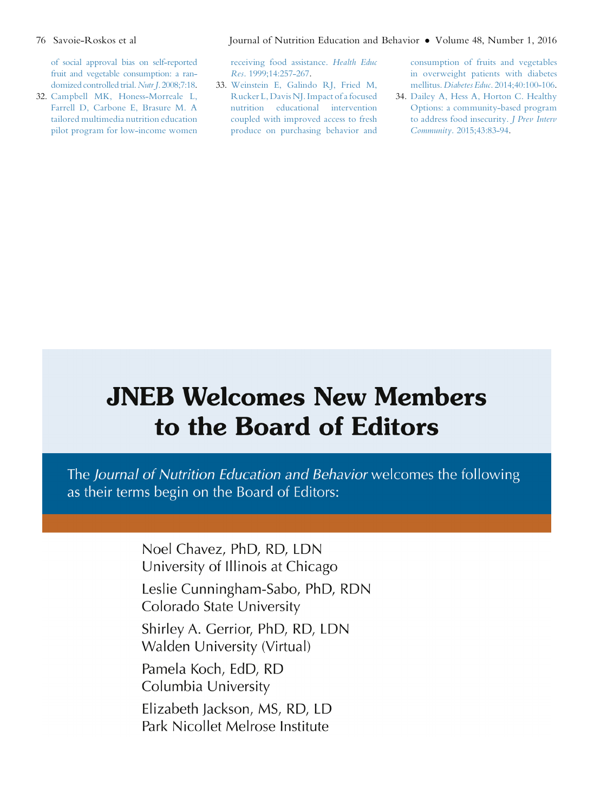[of social approval bias on self-reported](http://refhub.elsevier.com/S1499-4046(15)00712-5/sref31) [fruit and vegetable consumption: a ran](http://refhub.elsevier.com/S1499-4046(15)00712-5/sref31)[domized controlled trial.](http://refhub.elsevier.com/S1499-4046(15)00712-5/sref31) Nutr J. 2008;7:18.

32. [Campbell MK, Honess-Morreale L,](http://refhub.elsevier.com/S1499-4046(15)00712-5/sref32) [Farrell D, Carbone E, Brasure M. A](http://refhub.elsevier.com/S1499-4046(15)00712-5/sref32) [tailored multimedia nutrition education](http://refhub.elsevier.com/S1499-4046(15)00712-5/sref32) [pilot program for low-income women](http://refhub.elsevier.com/S1499-4046(15)00712-5/sref32)

<span id="page-6-0"></span>76 Savoie-Roskos et al Journal of Nutrition Education and Behavior Volume 48, Number 1, 2016

[receiving food assistance.](http://refhub.elsevier.com/S1499-4046(15)00712-5/sref32) Health Educ Res[. 1999;14:257-267](http://refhub.elsevier.com/S1499-4046(15)00712-5/sref32).

33. [Weinstein E, Galindo RJ, Fried M,](http://refhub.elsevier.com/S1499-4046(15)00712-5/sref33) [Rucker L, Davis NJ. Impact of a focused](http://refhub.elsevier.com/S1499-4046(15)00712-5/sref33) [nutrition educational intervention](http://refhub.elsevier.com/S1499-4046(15)00712-5/sref33) [coupled with improved access to fresh](http://refhub.elsevier.com/S1499-4046(15)00712-5/sref33) [produce on purchasing behavior and](http://refhub.elsevier.com/S1499-4046(15)00712-5/sref33)

[consumption of fruits and vegetables](http://refhub.elsevier.com/S1499-4046(15)00712-5/sref33) [in overweight patients with diabetes](http://refhub.elsevier.com/S1499-4046(15)00712-5/sref33) mellitus. Diabetes Educ[. 2014;40:100-106.](http://refhub.elsevier.com/S1499-4046(15)00712-5/sref33)

34. [Dailey A, Hess A, Horton C. Healthy](http://refhub.elsevier.com/S1499-4046(15)00712-5/sref34) [Options: a community-based program](http://refhub.elsevier.com/S1499-4046(15)00712-5/sref34) [to address food insecurity.](http://refhub.elsevier.com/S1499-4046(15)00712-5/sref34) J Prev Interv Community[. 2015;43:83-94](http://refhub.elsevier.com/S1499-4046(15)00712-5/sref34).

# **JNEB Welcomes New Members** to the Board of Editors

The Journal of Nutrition Education and Behavior welcomes the following as their terms begin on the Board of Editors:

> Noel Chavez, PhD, RD, LDN University of Illinois at Chicago

Leslie Cunningham-Sabo, PhD, RDN Colorado State University

Shirley A. Gerrior, PhD, RD, LDN Walden University (Virtual)

Pamela Koch, EdD, RD Columbia University

Elizabeth Jackson, MS, RD, LD Park Nicollet Melrose Institute